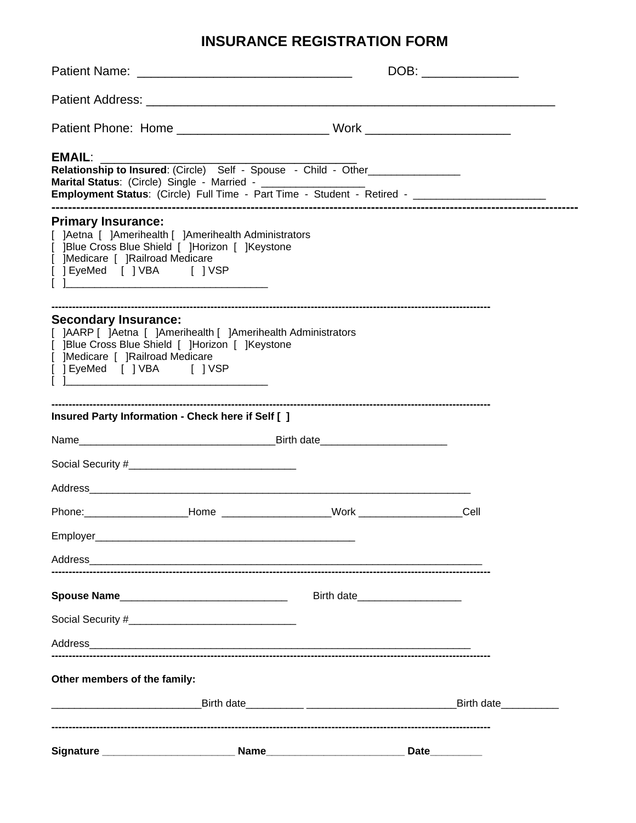# **INSURANCE REGISTRATION FORM**

| <b>EMAIL:</b><br>Relationship to Insured: (Circle) Self - Spouse - Child - Other_________________                                                                                                                              |                                   |            |
|--------------------------------------------------------------------------------------------------------------------------------------------------------------------------------------------------------------------------------|-----------------------------------|------------|
| <b>Primary Insurance:</b><br>[ ]Aetna [ ]Amerihealth [ ]Amerihealth Administrators<br>[ ]Blue Cross Blue Shield [ ]Horizon [ ]Keystone<br>]Medicare [ ]Railroad Medicare<br>[ ] EyeMed [ ] VBA [ ] VSP                         |                                   |            |
| <b>Secondary Insurance:</b><br>[ ]AARP [ ]Aetna [ ]Amerihealth [ ]Amerihealth Administrators<br>[ ]Blue Cross Blue Shield [ ]Horizon [ ]Keystone<br>[ ]Medicare [ ]Railroad Medicare<br>[ ] EyeMed [ ] VBA [ ] VSP             |                                   |            |
| Insured Party Information - Check here if Self [ ]                                                                                                                                                                             |                                   |            |
|                                                                                                                                                                                                                                |                                   |            |
|                                                                                                                                                                                                                                |                                   |            |
|                                                                                                                                                                                                                                |                                   |            |
|                                                                                                                                                                                                                                |                                   |            |
|                                                                                                                                                                                                                                |                                   |            |
|                                                                                                                                                                                                                                |                                   |            |
| Spouse Name                                                                                                                                                                                                                    | Birth date_______________________ |            |
|                                                                                                                                                                                                                                |                                   |            |
| Address and the contract of the contract of the contract of the contract of the contract of the contract of the contract of the contract of the contract of the contract of the contract of the contract of the contract of th |                                   |            |
| Other members of the family:                                                                                                                                                                                                   |                                   |            |
|                                                                                                                                                                                                                                |                                   | Birth date |
|                                                                                                                                                                                                                                |                                   | Date       |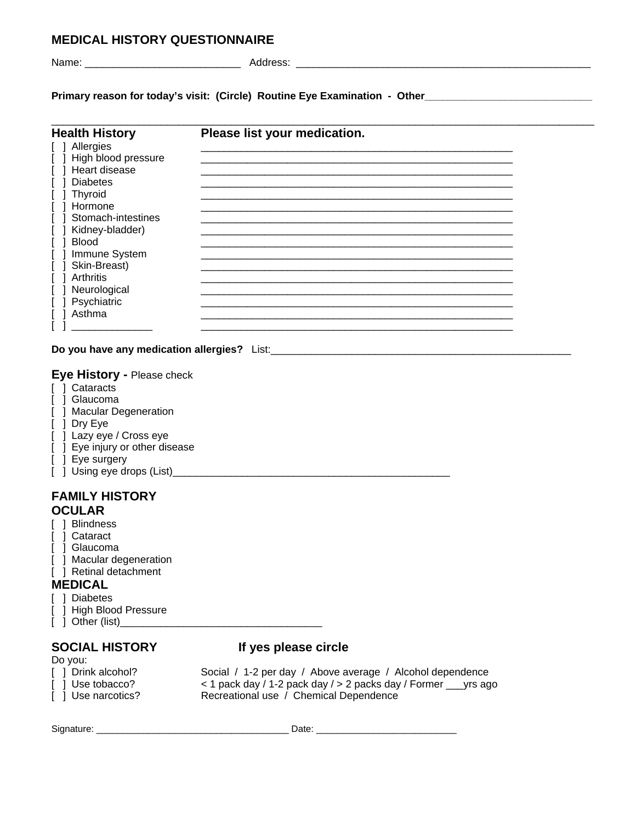# **MEDICAL HISTORY QUESTIONNAIRE**

| Name: |  |
|-------|--|

Name: \_\_\_\_\_\_\_\_\_\_\_\_\_\_\_\_\_\_\_\_\_\_\_\_\_\_\_ Address: \_\_\_\_\_\_\_\_\_\_\_\_\_\_\_\_\_\_\_\_\_\_\_\_\_\_\_\_\_\_\_\_\_\_\_\_\_\_\_\_\_\_\_\_\_\_\_\_\_\_\_

Primary reason for today's visit: (Circle) Routine Eye Examination - Other\_\_\_\_\_\_\_\_\_\_\_\_\_\_\_\_\_\_\_\_\_\_\_\_\_\_

| Please list your medication. |  |
|------------------------------|--|
|                              |  |
|                              |  |
|                              |  |
|                              |  |
|                              |  |
|                              |  |
|                              |  |
|                              |  |
|                              |  |
|                              |  |
|                              |  |
|                              |  |
|                              |  |
|                              |  |
|                              |  |
|                              |  |

**Do you have any medication allergies?** List:\_\_\_\_\_\_\_\_\_\_\_\_\_\_\_\_\_\_\_\_\_\_\_\_\_\_\_\_\_\_\_\_\_\_\_\_\_\_\_\_\_\_\_\_\_\_\_\_\_\_\_\_

### **Eye History -** Please check

- [ ] Cataracts
- [ ] Glaucoma
- [ ] Macular Degeneration
- [ ] Dry Eye
- [ ] Lazy eye / Cross eye
- [ ] Eye injury or other disease
- [ ] Eye surgery
- [ ] Using eye drops (List)\_\_\_\_\_\_\_\_\_\_\_\_\_\_\_\_\_\_\_\_\_\_\_\_\_\_\_\_\_\_\_\_\_\_\_\_\_\_\_\_\_\_\_\_\_\_\_\_

### **FAMILY HISTORY OCULAR**

- [ ] Blindness
- [ ] Cataract
- [ ] Glaucoma
- [ ] Macular degeneration
- [ ] Retinal detachment

# **MEDICAL**

- [ ] Diabetes
- [ ] High Blood Pressure
- [ ] Other (list)\_\_\_\_\_\_\_\_\_\_\_\_\_\_\_\_\_\_\_\_\_\_\_\_\_\_\_\_\_\_\_\_\_\_\_

# **SOCIAL HISTORY If yes please circle**

| Do you:            |                                                                   |
|--------------------|-------------------------------------------------------------------|
| [ ] Drink alcohol? | Social / 1-2 per day / Above average / Alcohol dependence         |
| [ ] Use tobacco?   | < 1 pack day / 1-2 pack day / > 2 packs day / Former ____ yrs ago |
| [ ] Use narcotics? | Recreational use / Chemical Dependence                            |
|                    |                                                                   |

Signature: \_\_\_\_\_\_\_\_\_\_\_\_\_\_\_\_\_\_\_\_\_\_\_\_\_\_\_\_\_\_\_\_\_\_\_\_\_ Date: \_\_\_\_\_\_\_\_\_\_\_\_\_\_\_\_\_\_\_\_\_\_\_\_\_\_\_